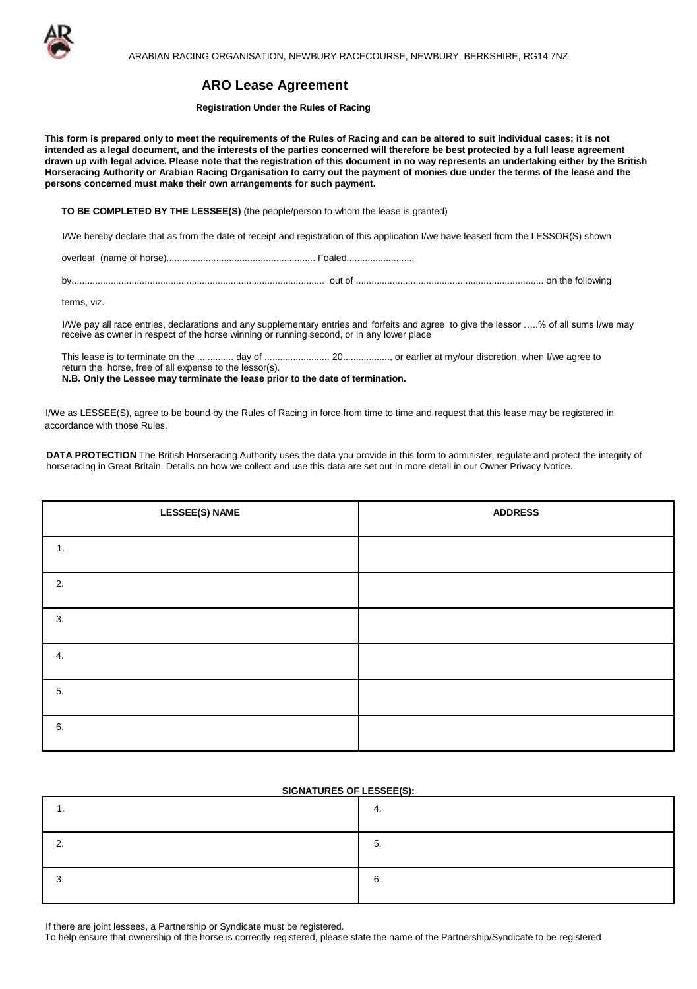

# **ARO Lease Agreement**

#### **Registration Under the Rules of Racing**

**This form is prepared only to meet the requirements of the Rules of Racing and can be altered to suit individual cases; it is not** intended as a legal document, and the interests of the parties concerned will therefore be best protected by a full lease agreement drawn up with legal advice. Please note that the registration of this document in no way represents an undertaking either by the British Horseracing Authority or Arabian Racing Organisation to carry out the payment of monies due under the terms of the lease and the **persons concerned must make their own arrangements for such payment.** 

**TO BE COMPLETED BY THE LESSEE(S)** (the people/person to whom the lease is granted)

I/We hereby declare that as from the date of receipt and registration of this application I/we have leased from the LESSOR(S) shown

overleaf (name of horse)......................................................... Foaled..........................

by................................................................................................. out of ........................................................................ on the following

terms, viz.

I/We pay all race entries, declarations and any supplementary entries and forfeits and agree to give the lessor …..% of all sums I/we may receive as owner in respect of the horse winning or running second, or in any lower place

This lease is to terminate on the .............. day of ......................... 20.................., or earlier at my/our discretion, when I/we agree to return the horse, free of all expense to the lessor(s).

**N.B. Only the Lessee may terminate the lease prior to the date of termination.** 

I/We as LESSEE(S), agree to be bound by the Rules of Racing in force from time to time and request that this lease may be registered in accordance with those Rules.

**DATA PROTECTION** The British Horseracing Authority uses the data you provide in this form to administer, regulate and protect the integrity of horseracing in Great Britain. Details on how we collect and use this data are set out in more detail in our Owner Privacy Notice.

| <b>LESSEE(S) NAME</b> | <b>ADDRESS</b> |
|-----------------------|----------------|
| 1.                    |                |
| 2.                    |                |
| 3.                    |                |
| 4.                    |                |
| 5.                    |                |
| 6.                    |                |

### **SIGNATURES OF LESSEE(S):**

If there are joint lessees, a Partnership or Syndicate must be registered.

To help ensure that ownership of the horse is correctly registered, please state the name of the Partnership/Syndicate to be registered